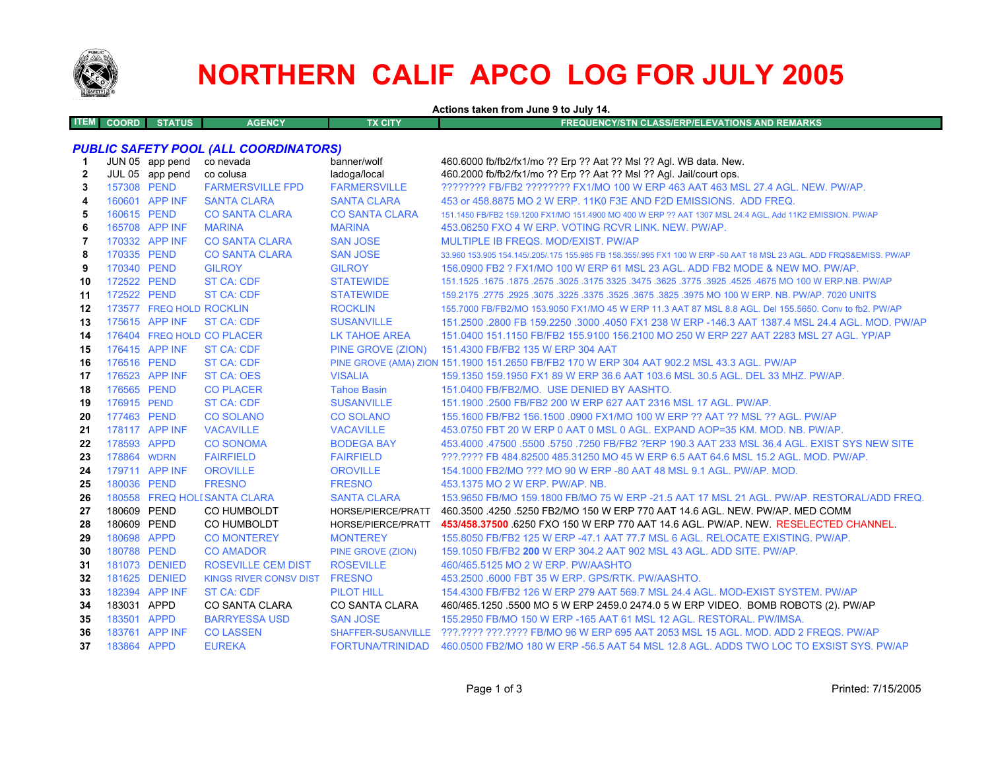

# **NORTHERN CALIF APCO LOG FOR JULY 2005**

**Actions taken from June 9 to July 14.**

| Æ<br>COORD | <b>TUS</b><br><b>The Market</b> | <b>AGENCY</b> | <b>X CITY</b> | <b>!EQUENCY/STN CLASS/ERP/ELEVATIONS AND REMARKS</b><br>. . |  |
|------------|---------------------------------|---------------|---------------|-------------------------------------------------------------|--|
|            |                                 |               |               |                                                             |  |

## *PUBLIC SAFETY POOL (ALL COORDINATORS)*

| -1           |             | JUN 05 app pend          | co nevada                    | banner/wolf               | 460.6000 fb/fb2/fx1/mo ?? Erp ?? Aat ?? Msl ?? Agl. WB data. New.                                                   |
|--------------|-------------|--------------------------|------------------------------|---------------------------|---------------------------------------------------------------------------------------------------------------------|
| $\mathbf{2}$ |             | JUL 05 app pend          | co colusa                    | ladoga/local              | 460.2000 fb/fb2/fx1/mo ?? Erp ?? Aat ?? Msl ?? Agl. Jail/court ops.                                                 |
| 3            | 157308 PEND |                          | <b>FARMERSVILLE FPD</b>      | <b>FARMERSVILLE</b>       | ???????? FB/FB2 ???????? FX1/MO 100 W ERP 463 AAT 463 MSL 27.4 AGL, NEW, PW/AP,                                     |
| 4            |             | 160601 APP INF           | <b>SANTA CLARA</b>           | <b>SANTA CLARA</b>        | 453 or 458,8875 MO 2 W ERP, 11K0 F3E AND F2D EMISSIONS. ADD FREQ.                                                   |
| 5            | 160615 PEND |                          | <b>CO SANTA CLARA</b>        | <b>CO SANTA CLARA</b>     | 151.1450 FB/FB2 159.1200 FX1/MO 151.4900 MO 400 W ERP ?? AAT 1307 MSL 24.4 AGL, Add 11K2 EMISSION, PW/AP            |
| 6            |             | 165708 APP INF           | <b>MARINA</b>                | <b>MARINA</b>             | 453.06250 FXO 4 W ERP. VOTING RCVR LINK, NEW, PW/AP.                                                                |
| 7            |             | 170332 APP INF           | <b>CO SANTA CLARA</b>        | <b>SAN JOSE</b>           | MULTIPLE IB FREQS, MOD/EXIST, PW/AP                                                                                 |
| 8            | 170335 PEND |                          | <b>CO SANTA CLARA</b>        | <b>SAN JOSE</b>           | 33,960 153,905 154,145/.205/.175 155,985 FB 158,355/.995 FX1 100 W ERP -50 AAT 18 MSL 23 AGL. ADD FRQS&EMISS, PW/AP |
| 9            | 170340 PEND |                          | <b>GILROY</b>                | <b>GILROY</b>             | 156,0900 FB2 ? FX1/MO 100 W ERP 61 MSL 23 AGL. ADD FB2 MODE & NEW MO, PW/AP.                                        |
| 10           | 172522 PEND |                          | <b>ST CA: CDF</b>            | <b>STATEWIDE</b>          | 151.1525 .1675 .1875 .2575 .3025 .3175 3325 .3475 .3625 .3775 .3925 .4525 .4675 MO 100 W ERP.NB. PW/AP              |
| 11           | 172522 PEND |                          | <b>ST CA: CDF</b>            | <b>STATEWIDE</b>          | 159.2175 .2775 .2925 .3075 .3225 .3675 .3675 .3825 .3975 MO 100 W ERP. NB. PW/AP. 7020 UNITS                        |
| 12           |             | 173577 FREQ HOLD ROCKLIN |                              | <b>ROCKLIN</b>            | 155.7000 FB/FB2/MO 153.9050 FX1/MO 45 W ERP 11.3 AAT 87 MSL 8.8 AGL. Del 155.5650. Conv to fb2. PW/AP               |
| 13           |             | 175615 APP INF           | <b>ST CA: CDF</b>            | <b>SUSANVILLE</b>         | 151.2500 .2800 FB 159.2250 .3000 .4050 FX1 238 W ERP -146.3 AAT 1387.4 MSL 24.4 AGL, MOD, PW/AP                     |
| 14           |             |                          | 176404 FREQ HOLD CO PLACER   | <b>LK TAHOE AREA</b>      | 151.0400 151.1150 FB/FB2 155.9100 156.2100 MO 250 W ERP 227 AAT 2283 MSL 27 AGL. YP/AP                              |
| 15           |             | 176415 APP INF           | <b>ST CA: CDF</b>            | PINE GROVE (ZION)         | 151.4300 FB/FB2 135 W ERP 304 AAT                                                                                   |
| 16           | 176516 PEND |                          | <b>ST CA: CDF</b>            |                           | PINE GROVE (AMA) ZION 151.1900 151.2650 FB/FB2 170 W ERP 304 AAT 902.2 MSL 43.3 AGL. PW/AP                          |
| 17           |             | 176523 APP INF           | <b>ST CA: OES</b>            | <b>VISALIA</b>            | 159.1350 159.1950 FX1 89 W ERP 36.6 AAT 103.6 MSL 30.5 AGL, DEL 33 MHZ, PW/AP,                                      |
| 18           | 176565 PEND |                          | <b>CO PLACER</b>             | <b>Tahoe Basin</b>        | 151.0400 FB/FB2/MO. USE DENIED BY AASHTO.                                                                           |
| 19           | 176915 PEND |                          | <b>ST CA: CDF</b>            | <b>SUSANVILLE</b>         | 151.1900 .2500 FB/FB2 200 W ERP 627 AAT 2316 MSL 17 AGL, PW/AP.                                                     |
| 20           | 177463 PEND |                          | <b>CO SOLANO</b>             | <b>CO SOLANO</b>          | 155,1600 FB/FB2 156,1500 .0900 FX1/MO 100 W ERP ?? AAT ?? MSL ?? AGL, PW/AP                                         |
| 21           |             | 178117 APP INF           | <b>VACAVILLE</b>             | <b>VACAVILLE</b>          | 453.0750 FBT 20 W ERP 0 AAT 0 MSL 0 AGL. EXPAND AOP=35 KM, MOD, NB, PW/AP,                                          |
| 22           | 178593 APPD |                          | <b>CO SONOMA</b>             | <b>BODEGA BAY</b>         | 453.4000 .47500 .5500 .5750 .7250 FB/FB2 ?ERP 190.3 AAT 233 MSL 36.4 AGL. EXIST SYS NEW SITE                        |
| 23           | 178864 WDRN |                          | <b>FAIRFIELD</b>             | <b>FAIRFIELD</b>          | ???.???? FB 484.82500 485.31250 MO 45 W ERP 6.5 AAT 64.6 MSL 15.2 AGL, MOD, PW/AP,                                  |
| 24           |             | 179711 APP INF           | <b>OROVILLE</b>              | <b>OROVILLE</b>           | 154,1000 FB2/MO ??? MO 90 W ERP -80 AAT 48 MSL 9.1 AGL, PW/AP, MOD.                                                 |
| 25           | 180036 PEND |                          | <b>FRESNO</b>                | <b>FRESNO</b>             | 453.1375 MO 2 W ERP. PW/AP. NB.                                                                                     |
| 26           |             |                          | 180558 FREQ HOLI SANTA CLARA | <b>SANTA CLARA</b>        | 153.9650 FB/MO 159.1800 FB/MO 75 W ERP -21.5 AAT 17 MSL 21 AGL, PW/AP, RESTORAL/ADD FREQ.                           |
| 27           | 180609 PEND |                          | CO HUMBOLDT                  | HORSE/PIERCE/PRATT        | 460.3500 .4250 .5250 FB2/MO 150 W ERP 770 AAT 14.6 AGL. NEW. PW/AP. MED COMM                                        |
| 28           | 180609 PEND |                          | CO HUMBOLDT                  | HORSE/PIERCE/PRATT        | 453/458.37500 6250 FXO 150 W ERP 770 AAT 14.6 AGL. PW/AP. NEW. RESELECTED CHANNEL.                                  |
| 29           | 180698 APPD |                          | <b>CO MONTEREY</b>           | <b>MONTEREY</b>           | 155,8050 FB/FB2 125 W ERP -47.1 AAT 77.7 MSL 6 AGL, RELOCATE EXISTING, PW/AP.                                       |
| 30           | 180788 PEND |                          | <b>CO AMADOR</b>             | <b>PINE GROVE (ZION)</b>  | 159.1050 FB/FB2 200 W ERP 304.2 AAT 902 MSL 43 AGL, ADD SITE, PW/AP.                                                |
| 31           |             | 181073 DENIED            | <b>ROSEVILLE CEM DIST</b>    | <b>ROSEVILLE</b>          | 460/465.5125 MO 2 W ERP. PW/AASHTO                                                                                  |
| 32           |             | 181625 DENIED            | KINGS RIVER CONSV DIST       | <b>FRESNO</b>             | 453.2500 .6000 FBT 35 W ERP. GPS/RTK, PW/AASHTO.                                                                    |
| 33           |             | 182394 APP INF           | <b>ST CA: CDF</b>            | <b>PILOT HILL</b>         | 154,4300 FB/FB2 126 W ERP 279 AAT 569.7 MSL 24.4 AGL, MOD-EXIST SYSTEM, PW/AP                                       |
| 34           | 183031 APPD |                          | <b>CO SANTA CLARA</b>        | <b>CO SANTA CLARA</b>     | 460/465.1250 .5500 MO 5 W ERP 2459.0 2474.0 5 W ERP VIDEO. BOMB ROBOTS (2). PW/AP                                   |
| 35           | 183501 APPD |                          | <b>BARRYESSA USD</b>         | <b>SAN JOSE</b>           | 155,2950 FB/MO 150 W ERP -165 AAT 61 MSL 12 AGL, RESTORAL, PW/IMSA.                                                 |
| 36           |             | 183761 APP INF           | <b>CO LASSEN</b>             | <b>SHAFFER-SUSANVILLE</b> | ???.???? ???.???? FB/MO 96 W ERP 695 AAT 2053 MSL 15 AGL. MOD. ADD 2 FREQS. PW/AP                                   |
| 37           | 183864 APPD |                          | <b>EUREKA</b>                | FORTUNA/TRINIDAD          | 460,0500 FB2/MO 180 W ERP -56.5 AAT 54 MSL 12.8 AGL, ADDS TWO LOC TO EXSIST SYS, PW/AP                              |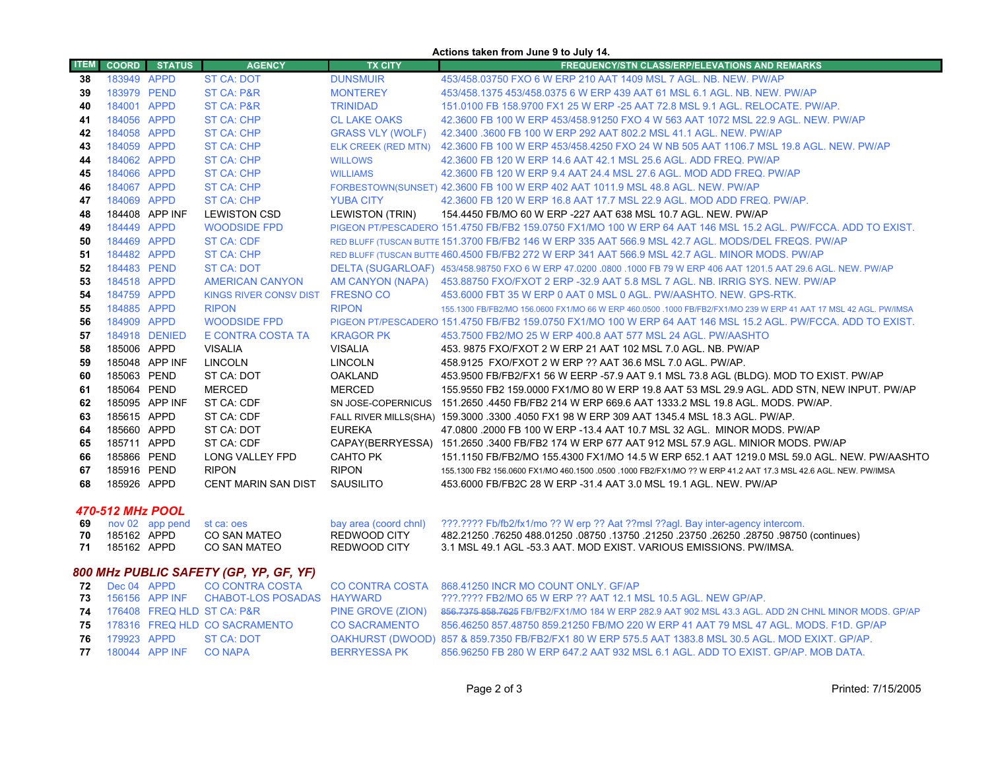| Actions taken from June 9 to July 14. |                            |                 |                                            |                                       |                                                                                                                                                               |  |  |
|---------------------------------------|----------------------------|-----------------|--------------------------------------------|---------------------------------------|---------------------------------------------------------------------------------------------------------------------------------------------------------------|--|--|
| <b>ITEM</b>                           | <b>COORD</b>               | <b>STATUS</b>   | <b>AGENCY</b>                              | <b>TX CITY</b>                        | <b>FREQUENCY/STN CLASS/ERP/ELEVATIONS AND REMARKS</b>                                                                                                         |  |  |
| 38                                    | 183949 APPD                |                 | <b>ST CA: DOT</b>                          | <b>DUNSMUIR</b>                       | 453/458.03750 FXO 6 W ERP 210 AAT 1409 MSL 7 AGL. NB. NEW. PW/AP                                                                                              |  |  |
| 39                                    | 183979 PEND                |                 | ST CA: P&R                                 | <b>MONTEREY</b>                       | 453/458.1375 453/458.0375 6 W ERP 439 AAT 61 MSL 6.1 AGL, NB, NEW, PW/AP                                                                                      |  |  |
| 40                                    | 184001 APPD                |                 | ST CA: P&R                                 | <b>TRINIDAD</b>                       | 151,0100 FB 158,9700 FX1 25 W ERP -25 AAT 72.8 MSL 9.1 AGL, RELOCATE, PW/AP.                                                                                  |  |  |
| 41                                    | 184056 APPD                |                 | <b>ST CA: CHP</b>                          | <b>CL LAKE OAKS</b>                   | 42.3600 FB 100 W ERP 453/458.91250 FXO 4 W 563 AAT 1072 MSL 22.9 AGL. NEW. PW/AP                                                                              |  |  |
| 42                                    | 184058 APPD                |                 | <b>ST CA: CHP</b>                          | <b>GRASS VLY (WOLF)</b>               | 42.3400 .3600 FB 100 W ERP 292 AAT 802.2 MSL 41.1 AGL. NEW. PW/AP                                                                                             |  |  |
| 43                                    | 184059 APPD                |                 | <b>ST CA: CHP</b>                          |                                       | ELK CREEK (RED MTN) 42.3600 FB 100 W ERP 453/458.4250 FXO 24 W NB 505 AAT 1106.7 MSL 19.8 AGL. NEW. PW/AP                                                     |  |  |
| 44                                    | 184062 APPD                |                 | <b>ST CA: CHP</b>                          | <b>WILLOWS</b>                        | 42.3600 FB 120 W ERP 14.6 AAT 42.1 MSL 25.6 AGL. ADD FREQ. PW/AP                                                                                              |  |  |
| 45                                    | 184066 APPD                |                 | <b>ST CA: CHP</b>                          | <b>WILLIAMS</b>                       | 42.3600 FB 120 W ERP 9.4 AAT 24.4 MSL 27.6 AGL. MOD ADD FREQ. PW/AP                                                                                           |  |  |
| 46                                    | 184067 APPD                |                 | <b>ST CA: CHP</b>                          |                                       | FORBESTOWN(SUNSET) 42.3600 FB 100 W ERP 402 AAT 1011.9 MSL 48.8 AGL. NEW. PW/AP                                                                               |  |  |
| 47                                    | 184069 APPD                |                 | <b>ST CA: CHP</b>                          | <b>YUBA CITY</b>                      | 42.3600 FB 120 W ERP 16.8 AAT 17.7 MSL 22.9 AGL. MOD ADD FREQ. PW/AP.                                                                                         |  |  |
| 48                                    |                            | 184408 APP INF  | <b>LEWISTON CSD</b>                        | <b>LEWISTON (TRIN)</b>                | 154.4450 FB/MO 60 W ERP -227 AAT 638 MSL 10.7 AGL. NEW. PW/AP                                                                                                 |  |  |
| 49                                    | 184449 APPD                |                 | <b>WOODSIDE FPD</b>                        |                                       | PIGEON PT/PESCADERO 151.4750 FB/FB2 159.0750 FX1/MO 100 W ERP 64 AAT 146 MSL 15.2 AGL. PW/FCCA, ADD TO EXIST,                                                 |  |  |
| 50                                    | 184469 APPD                |                 | <b>ST CA: CDF</b>                          |                                       | RED BLUFF (TUSCAN BUTTE 151.3700 FB/FB2 146 W ERP 335 AAT 566.9 MSL 42.7 AGL, MODS/DEL FREQS, PW/AP                                                           |  |  |
| 51                                    | 184482 APPD                |                 | <b>ST CA: CHP</b>                          |                                       | RED BLUFF (TUSCAN BUTTE 460.4500 FB/FB2 272 W ERP 341 AAT 566.9 MSL 42.7 AGL. MINOR MODS. PW/AP                                                               |  |  |
| 52                                    | 184483 PEND                |                 | ST CA: DOT                                 |                                       | DELTA (SUGARLOAF) 453/458.98750 FXO 6 W ERP 47.0200 .0800 .1000 FB 79 W ERP 406 AAT 1201.5 AAT 29.6 AGL. NEW. PW/AP                                           |  |  |
| 53                                    | 184518 APPD                |                 | <b>AMERICAN CANYON</b>                     |                                       | AM CANYON (NAPA) 453.88750 FXO/FXOT 2 ERP -32.9 AAT 5.8 MSL 7 AGL. NB. IRRIG SYS. NEW. PW/AP                                                                  |  |  |
| 54                                    | 184759 APPD                |                 | KINGS RIVER CONSV DIST FRESNO CO           |                                       | 453,6000 FBT 35 W ERP 0 AAT 0 MSL 0 AGL, PW/AASHTO, NEW, GPS-RTK,                                                                                             |  |  |
| 55                                    | 184885 APPD                |                 | <b>RIPON</b>                               | <b>RIPON</b>                          | 155.1300 FB/FB2/MO 156.0600 FX1/MO 66 W ERP 460.0500 .1000 FB/FB2/FX1/MO 239 W ERP 41 AAT 17 MSL 42 AGL, PW/IMSA                                              |  |  |
| 56                                    | 184909 APPD                |                 | <b>WOODSIDE FPD</b>                        |                                       | PIGEON PT/PESCADERO 151.4750 FB/FB2 159.0750 FX1/MO 100 W ERP 64 AAT 146 MSL 15.2 AGL. PW/FCCA. ADD TO EXIST.                                                 |  |  |
| 57                                    |                            | 184918 DENIED   | E CONTRA COSTA TA                          | <b>KRAGOR PK</b>                      | 453.7500 FB2/MO 25 W ERP 400.8 AAT 577 MSL 24 AGL. PW/AASHTO                                                                                                  |  |  |
| 58                                    | 185006 APPD                |                 | <b>VISALIA</b>                             | <b>VISALIA</b>                        | 453. 9875 FXO/FXOT 2 W ERP 21 AAT 102 MSL 7.0 AGL. NB. PW/AP                                                                                                  |  |  |
| 59                                    |                            | 185048 APP INF  | <b>LINCOLN</b>                             | <b>LINCOLN</b>                        | 458.9125 FXO/FXOT 2 W ERP ?? AAT 36.6 MSL 7.0 AGL. PW/AP.                                                                                                     |  |  |
| 60                                    | 185063 PEND                |                 | ST CA: DOT                                 | <b>OAKLAND</b>                        | 453.9500 FB/FB2/FX1 56 W EERP -57.9 AAT 9.1 MSL 73.8 AGL (BLDG). MOD TO EXIST. PW/AP                                                                          |  |  |
| 61                                    | 185064 PEND                |                 | <b>MERCED</b>                              | <b>MERCED</b>                         | 155.9550 FB2 159.0000 FX1/MO 80 W ERP 19.8 AAT 53 MSL 29.9 AGL. ADD STN, NEW INPUT, PW/AP                                                                     |  |  |
| 62                                    |                            | 185095 APP INF  | ST CA: CDF                                 |                                       | SN JOSE-COPERNICUS 151.2650 4450 FB/FB2 214 W ERP 669.6 AAT 1333.2 MSL 19.8 AGL. MODS. PW/AP.                                                                 |  |  |
| 63                                    | 185615 APPD                |                 | ST CA: CDF                                 |                                       | FALL RIVER MILLS(SHA) 159.3000 .3300 .4050 FX1 98 W ERP 309 AAT 1345.4 MSL 18.3 AGL. PW/AP.                                                                   |  |  |
| 64                                    | 185660 APPD                |                 | ST CA: DOT                                 | <b>EUREKA</b>                         | 47.0800 .2000 FB 100 W ERP -13.4 AAT 10.7 MSL 32 AGL. MINOR MODS. PW/AP                                                                                       |  |  |
| 65                                    | 185711 APPD                |                 | ST CA: CDF                                 |                                       | CAPAY(BERRYESSA) 151.2650 .3400 FB/FB2 174 W ERP 677 AAT 912 MSL 57.9 AGL. MINIOR MODS. PW/AP                                                                 |  |  |
| 66                                    | 185866 PEND                |                 | <b>LONG VALLEY FPD</b>                     | <b>CAHTO PK</b>                       | 151.1150 FB/FB2/MO 155.4300 FX1/MO 14.5 W ERP 652.1 AAT 1219.0 MSL 59.0 AGL. NEW. PW/AASHTO                                                                   |  |  |
| 67                                    | 185916 PEND                |                 | <b>RIPON</b>                               | <b>RIPON</b>                          | 155,1300 FB2 156,0600 FX1/MO 460,1500 ,0500 ,1000 FB2/FX1/MO ?? W ERP 41.2 AAT 17.3 MSL 42.6 AGL, NEW, PW/IMSA                                                |  |  |
| 68                                    | 185926 APPD                |                 | <b>CENT MARIN SAN DIST</b>                 | <b>SAUSILITO</b>                      | 453,6000 FB/FB2C 28 W ERP -31.4 AAT 3.0 MSL 19.1 AGL, NEW, PW/AP                                                                                              |  |  |
|                                       |                            |                 |                                            |                                       |                                                                                                                                                               |  |  |
|                                       | 470-512 MHz POOL           |                 |                                            |                                       |                                                                                                                                                               |  |  |
| 69                                    |                            | nov 02 app pend | st ca: oes                                 | bay area (coord chnl)<br>REDWOOD CITY | ???.???? Fb/fb2/fx1/mo ?? W erp ?? Aat ??msl ??agl. Bay inter-agency intercom.                                                                                |  |  |
| 70<br>71                              | 185162 APPD<br>185162 APPD |                 | <b>CO SAN MATEO</b><br><b>CO SAN MATEO</b> | <b>REDWOOD CITY</b>                   | 482.21250 .76250 488.01250 .08750 .13750 .21250 .23750 .26250 .28750 .98750 (continues)<br>3.1 MSL 49.1 AGL -53.3 AAT. MOD EXIST. VARIOUS EMISSIONS. PW/IMSA. |  |  |
|                                       |                            |                 |                                            |                                       |                                                                                                                                                               |  |  |
|                                       |                            |                 | 800 MHz PUBLIC SAFETY (GP, YP, GF, YF)     |                                       |                                                                                                                                                               |  |  |
| 72                                    | Dec 04 APPD                |                 | CO CONTRA COSTA                            | <b>CO CONTRA COSTA</b>                | 868.41250 INCR MO COUNT ONLY. GF/AP                                                                                                                           |  |  |
| 73                                    |                            | 156156 APP INF  | CHABOT-LOS POSADAS HAYWARD                 |                                       | ???.???? FB2/MO 65 W ERP ?? AAT 12.1 MSL 10.5 AGL. NEW GP/AP.                                                                                                 |  |  |
| 74                                    |                            |                 | 176408 FREQ HLD ST CA: P&R                 | PINE GROVE (ZION)                     | 856.7375 858.7625 FB/FB2/FX1/MO 184 W ERP 282.9 AAT 902 MSL 43.3 AGL. ADD 2N CHNL MINOR MODS. GP/AP                                                           |  |  |
| 75                                    |                            |                 | 178316 FREQ HLD CO SACRAMENTO              | <b>CO SACRAMENTO</b>                  | 856.46250 857.48750 859.21250 FB/MO 220 W ERP 41 AAT 79 MSL 47 AGL. MODS. F1D. GP/AP                                                                          |  |  |

179923 APPD ST CA: DOT OAKHURST (DWOOD) 857 & 859.7350 FB/FB2/FX1 80 W ERP 575.5 AAT 1383.8 MSL 30.5 AGL. MOD EXIXT. GP/AP.

180044 APP INF CO NAPA BERRYESSA PK 856.96250 FB 280 W ERP 647.2 AAT 932 MSL 6.1 AGL. ADD TO EXIST. GP/AP. MOB DATA.

**76**

**77**